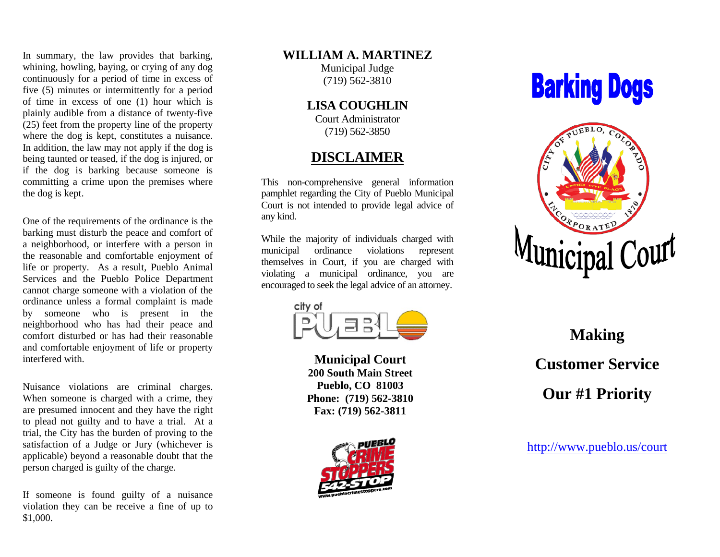In summary, the law provides that barking, whining, howling, baying, or crying of any dog continuously for a period of time in excess of five (5) minutes or intermittently for a period of time in excess of one (1) hour which is plainly audible from a distance of twenty-five (25) feet from the property line of the property where the dog is kept, constitutes a nuisance. In addition, the law may not apply if the dog is being taunted or teased, if the dog is injured, or if the dog is barking because someone is committing a crime upon the premises where the dog is kept.

One of the requirements of the ordinance is the barking must disturb the peace and comfort of a neighborhood, or interfere with a person in the reasonable and comfortable enjoyment of life or property. As a result, Pueblo Animal Services and the Pueblo Police Department cannot charge someone with a violation of the ordinance unless a formal complaint is made by someone who is present in the neighborhood who has had their peace and comfort disturbed or has had their reasonable and comfortable enjoyment of life or property interfered with.

Nuisance violations are criminal charges. When someone is charged with a crime, they are presumed innocent and they have the right to plead not guilty and to have a trial. At a trial, the City has the burden of proving to the satisfaction of a Judge or Jury (whichever is applicable) beyond a reasonable doubt that the person charged is guilty of the charge.

If someone is found guilty of a nuisance violation they can be receive a fine of up to \$1,000.

### **WILLIAM A. MARTINEZ**

Municipal Judge (719) 562-3810

**LISA COUGHLIN**

Court Administrator (719) 562-3850

## **DISCLAIMER**

This non-comprehensive general information pamphlet regarding the City of Pueblo Municipal Court is not intended to provide legal advice of any kind.

While the majority of individuals charged with municipal ordinance violations represent themselves in Court, if you are charged with violating a municipal ordinance, you are encouraged to seek the legal advice of an attorney.



**Municipal Court 200 South Main Street Pueblo, CO 81003 Phone: (719) 562-3810 Fax: (719) 562-3811**



# **Barking Dogs**



**Making Customer Service Our #1 Priority**

<http://www.pueblo.us/>court